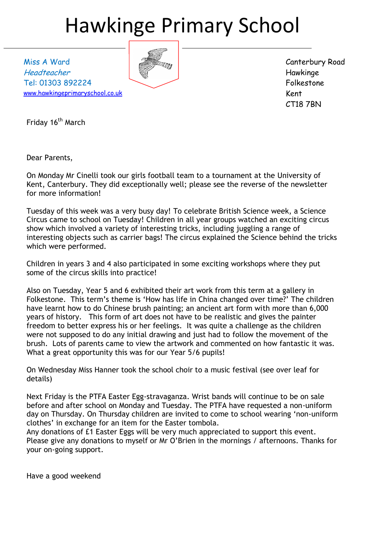# Hawkinge Primary School

Miss A Ward Headteacher Tel: 01303 892224 [www.hawkingeprimaryschool.co.uk](http://www.hawkingeprimaryschool.co.uk/)

Canterbury Road Hawkinge Folkestone Kent CT18 7BN

Friday 16<sup>th</sup> March

Dear Parents,

On Monday Mr Cinelli took our girls football team to a tournament at the University of Kent, Canterbury. They did exceptionally well; please see the reverse of the newsletter for more information!

Tuesday of this week was a very busy day! To celebrate British Science week, a Science Circus came to school on Tuesday! Children in all year groups watched an exciting circus show which involved a variety of interesting tricks, including juggling a range of interesting objects such as carrier bags! The circus explained the Science behind the tricks which were performed.

Children in years 3 and 4 also participated in some exciting workshops where they put some of the circus skills into practice!

Also on Tuesday, Year 5 and 6 exhibited their art work from this term at a gallery in Folkestone. This term's theme is 'How has life in China changed over time?' The children have learnt how to do Chinese brush painting; an ancient art form with more than 6,000 years of history. This form of art does not have to be realistic and gives the painter freedom to better express his or her feelings. It was quite a challenge as the children were not supposed to do any initial drawing and just had to follow the movement of the brush. Lots of parents came to view the artwork and commented on how fantastic it was. What a great opportunity this was for our Year 5/6 pupils!

On Wednesday Miss Hanner took the school choir to a music festival (see over leaf for details)

Next Friday is the PTFA Easter Egg-stravaganza. Wrist bands will continue to be on sale before and after school on Monday and Tuesday. The PTFA have requested a non-uniform day on Thursday. On Thursday children are invited to come to school wearing 'non-uniform clothes' in exchange for an item for the Easter tombola.

Any donations of £1 Easter Eggs will be very much appreciated to support this event. Please give any donations to myself or Mr O'Brien in the mornings / afternoons. Thanks for your on-going support.

Have a good weekend